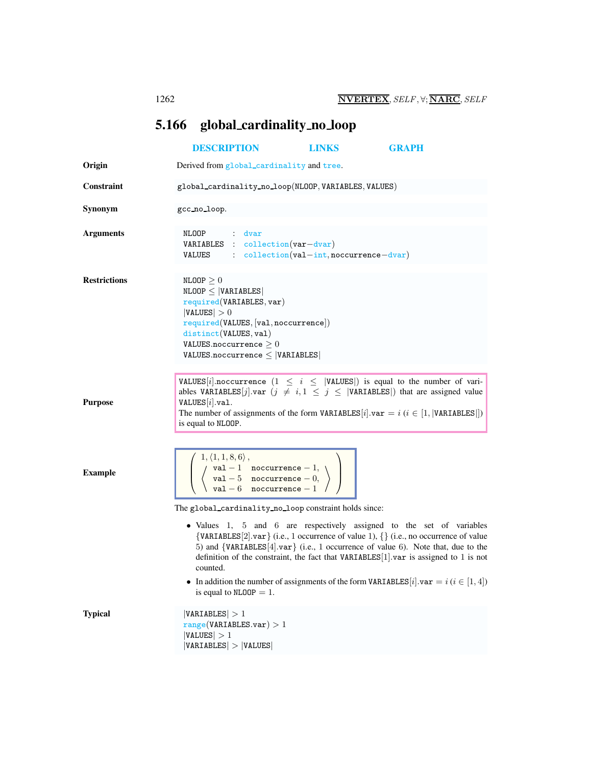## [DESCRIPTION](#page-0-0) [LINKS](#page-1-0) [GRAPH](#page-2-0) Origin Derived from global\_cardinality and tree. Constraint global cardinality no loop(NLOOP, VARIABLES, VALUES) Synonym gcc\_no\_loop. Arguments NLOOP : dvar VARIABLES : collection(var−dvar) VALUES : collection(val−int, noccurrence−dvar) **Restrictions**  $NLOOP \geq 0$  $NLOOP \leq |VARIABLES|$ required(VARIABLES, var)  $|VALUES| > 0$ required(VALUES, [val, noccurrence]) distinct(VALUES, val) VALUES.noccurrence  $\geq 0$ VALUES.noccurrence ≤ |VARIABLES| Purpose VALUES[i].noccurrence  $(1 \leq i \leq |VALUES|)$  is equal to the number of variables VARIABLES[j].var  $(j \neq i, 1 \leq j \leq |VARTABLES|)$  that are assigned value  $VALUES[i].val.$ The number of assignments of the form VARIABLES[i].var = i (i  $\in$  [1, |VARIABLES]]) is equal to NLOOP. Example  $\sqrt{ }$  $\overline{\phantom{a}}$  $1, \langle 1, 1, 8, 6 \rangle$ ,  $val - 1$  noccurrence  $- 1$ ,  $val - 5$  noccurrence – 0,  $val - 6$  noccurrence  $-1$  $\setminus$  $\setminus$  $\overline{\phantom{a}}$ The global cardinality no loop constraint holds since: • Values 1, 5 and 6 are respectively assigned to the set of variables  $\{VARIABLES[2].var\}$  (i.e., 1 occurrence of value 1),  $\{\}$  (i.e., no occurrence of value 5) and {VARIABLES[4].var} (i.e., 1 occurrence of value 6). Note that, due to the definition of the constraint, the fact that VARIABLES[1].var is assigned to 1 is not counted. • In addition the number of assignments of the form VARIABLES[i].var =  $i$  ( $i \in [1, 4]$ ) is equal to  $NLOOP = 1$ .  $Typical$  |VARIABLES|  $> 1$  $range(VARIABLES.var) > 1$  $|VALUES| > 1$  $|VARIABLES| > |VALUES|$

<span id="page-0-0"></span>5.166 global cardinality no loop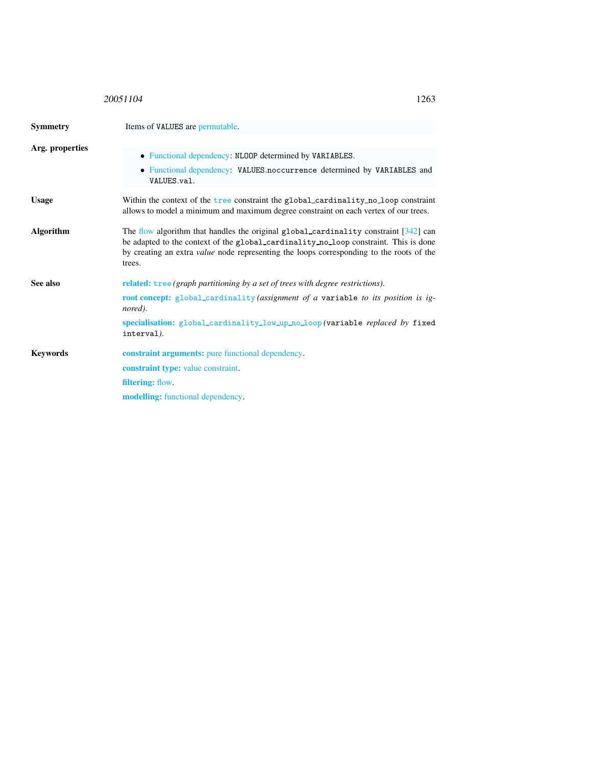## 20051104 1263

<span id="page-1-0"></span>

| <b>Symmetry</b>  | Items of VALUES are permutable.                                                                                                                                                                                                                                                             |
|------------------|---------------------------------------------------------------------------------------------------------------------------------------------------------------------------------------------------------------------------------------------------------------------------------------------|
| Arg. properties  |                                                                                                                                                                                                                                                                                             |
|                  | • Functional dependency: NLOOP determined by VARIABLES.                                                                                                                                                                                                                                     |
|                  | Functional dependency: VALUES noccurrence determined by VARIABLES and<br>VALUES.val.                                                                                                                                                                                                        |
| <b>Usage</b>     | Within the context of the tree constraint the global_cardinality_no_loop constraint<br>allows to model a minimum and maximum degree constraint on each vertex of our trees.                                                                                                                 |
| <b>Algorithm</b> | The flow algorithm that handles the original global cardinality constraint $[342]$ can<br>be adapted to the context of the global_cardinality_no_loop constraint. This is done<br>by creating an extra <i>value</i> node representing the loops corresponding to the roots of the<br>trees. |
| See also         | related: tree (graph partitioning by a set of trees with degree restrictions).                                                                                                                                                                                                              |
|                  | root concept: global_cardinality (assignment of a variable to its position is ig-<br>nored).                                                                                                                                                                                                |
|                  | specialisation: global_cardinality_low_up_no_loop(variable replaced by fixed<br>interval).                                                                                                                                                                                                  |
| <b>Keywords</b>  | <b>constraint arguments:</b> pure functional dependency.                                                                                                                                                                                                                                    |
|                  | constraint type: value constraint.                                                                                                                                                                                                                                                          |
|                  | filtering: flow.                                                                                                                                                                                                                                                                            |
|                  | <b>modelling:</b> functional dependency.                                                                                                                                                                                                                                                    |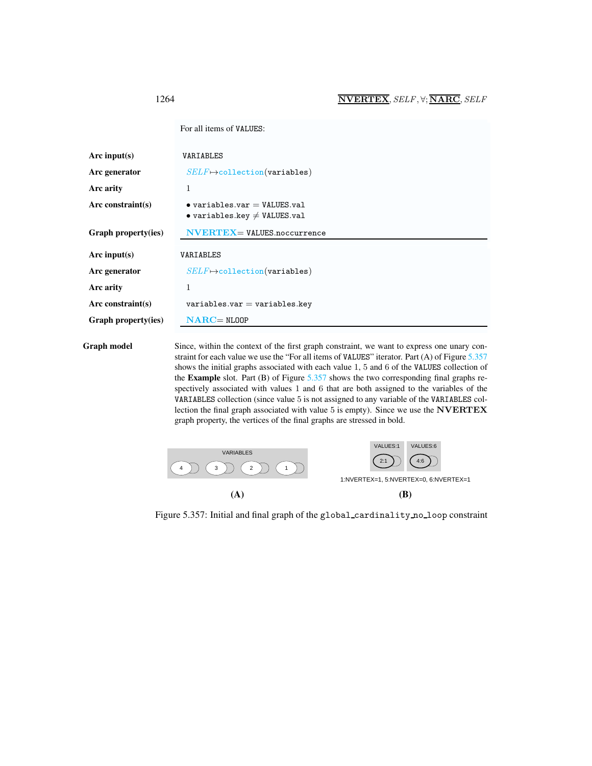<span id="page-2-0"></span>For all items of VALUES:

| Arc input(s)        | VARIABLES                                                                                                                                                        |
|---------------------|------------------------------------------------------------------------------------------------------------------------------------------------------------------|
| Arc generator       | $SELF \mapsto$ collection(variables)                                                                                                                             |
| Arc arity           | 1                                                                                                                                                                |
| Arc constraint(s)   | $\bullet$ variables.var = VALUES.val<br>• variables.key $\neq$ VALUES.val                                                                                        |
| Graph property(ies) | $\mathbf{N} \mathbf{V} \mathbf{E} \mathbf{R} \mathbf{T} \mathbf{E} \mathbf{X} = \mathbf{V} \mathbf{A} \mathbf{L} \mathbf{U} \mathbf{E} \mathbf{S}$ . noccurrence |
| Arc input(s)        | VARIABLES                                                                                                                                                        |
| Arc generator       | $SELF \mapsto$ collection(variables)                                                                                                                             |
| <b>Arc arity</b>    | $\mathbf{1}$                                                                                                                                                     |
| Arc constraint(s)   | $variables.var = variables.key$                                                                                                                                  |
| Graph property(ies) | $NARC = NLOOP$                                                                                                                                                   |
|                     |                                                                                                                                                                  |

Graph model Since, within the context of the first graph constraint, we want to express one unary constraint for each value we use the "For all items of VALUES" iterator. Part (A) of Figure [5.357](#page-2-1) shows the initial graphs associated with each value 1, 5 and 6 of the VALUES collection of the Example slot. Part (B) of Figure [5.357](#page-2-1) shows the two corresponding final graphs respectively associated with values 1 and 6 that are both assigned to the variables of the VARIABLES collection (since value 5 is not assigned to any variable of the VARIABLES collection the final graph associated with value 5 is empty). Since we use the NVERTEX graph property, the vertices of the final graphs are stressed in bold.



<span id="page-2-1"></span>Figure 5.357: Initial and final graph of the global cardinality no loop constraint